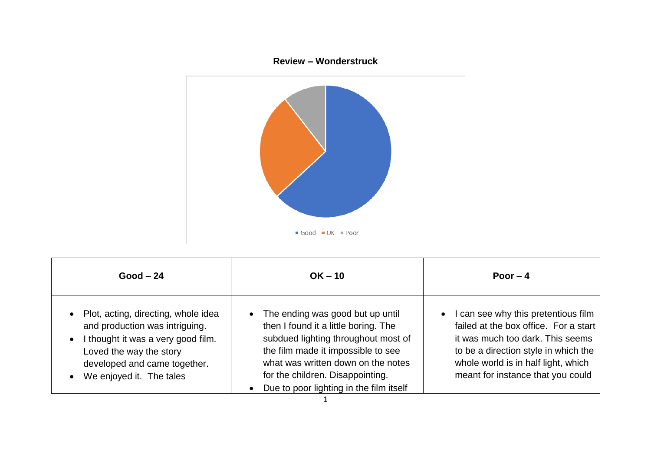



| $Good - 24$                                                                                                                                                                                                                               | $OK - 10$                                                                                                                                                                                                                                                                  | Poor $-4$                                                                                                                                                                                                                                       |
|-------------------------------------------------------------------------------------------------------------------------------------------------------------------------------------------------------------------------------------------|----------------------------------------------------------------------------------------------------------------------------------------------------------------------------------------------------------------------------------------------------------------------------|-------------------------------------------------------------------------------------------------------------------------------------------------------------------------------------------------------------------------------------------------|
| Plot, acting, directing, whole idea<br>$\bullet$<br>and production was intriguing.<br>I thought it was a very good film.<br>$\bullet$<br>Loved the way the story<br>developed and came together.<br>We enjoyed it. The tales<br>$\bullet$ | The ending was good but up until<br>then I found it a little boring. The<br>subdued lighting throughout most of<br>the film made it impossible to see<br>what was written down on the notes<br>for the children. Disappointing.<br>Due to poor lighting in the film itself | can see why this pretentious film<br>$\bullet$<br>failed at the box office. For a start<br>it was much too dark. This seems<br>to be a direction style in which the<br>whole world is in half light, which<br>meant for instance that you could |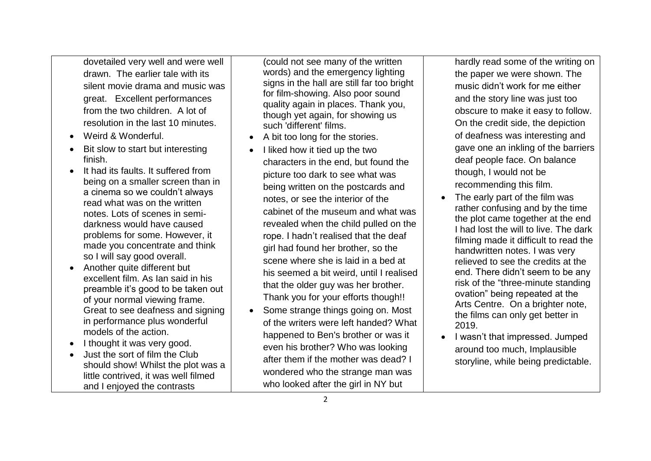dovetailed very well and were well drawn. The earlier tale with its silent movie drama and music was great. Excellent performances from the two children. A lot of resolution in the last 10 minutes.

- Weird & Wonderful.
- Bit slow to start but interesting finish.
- It had its faults. It suffered from being on a smaller screen than in a cinema so we couldn't always read what was on the written notes. Lots of scenes in semidarkness would have caused problems for some. However, it made you concentrate and think so I will say good overall.
- Another quite different but excellent film. As Ian said in his preamble it's good to be taken out of your normal viewing frame. Great to see deafness and signing in performance plus wonderful models of the action.
- I thought it was very good.
- Just the sort of film the Club should show! Whilst the plot was a little contrived, it was well filmed and I enjoyed the contrasts

(could not see many of the written words) and the emergency lighting signs in the hall are still far too bright for film-showing. Also poor sound quality again in places. Thank you, though yet again, for showing us such 'different' films.

- A bit too long for the stories.
- I liked how it tied up the two characters in the end, but found the picture too dark to see what was being written on the postcards and notes, or see the interior of the cabinet of the museum and what was revealed when the child pulled on the rope. I hadn't realised that the deaf girl had found her brother, so the scene where she is laid in a bed at his seemed a bit weird, until I realised that the older guy was her brother. Thank you for your efforts though!!
- Some strange things going on. Most of the writers were left handed? What happened to Ben's brother or was it even his brother? Who was looking after them if the mother was dead? I wondered who the strange man was who looked after the girl in NY but

hardly read some of the writing on the paper we were shown. The music didn't work for me either and the story line was just too obscure to make it easy to follow. On the credit side, the depiction of deafness was interesting and gave one an inkling of the barriers deaf people face. On balance though, I would not be recommending this film.

- The early part of the film was rather confusing and by the time the plot came together at the end I had lost the will to live. The dark filming made it difficult to read the handwritten notes. I was very relieved to see the credits at the end. There didn't seem to be any risk of the "three-minute standing ovation" being repeated at the Arts Centre. On a brighter note, the films can only get better in 2019.
- I wasn't that impressed. Jumped around too much, Implausible storyline, while being predictable.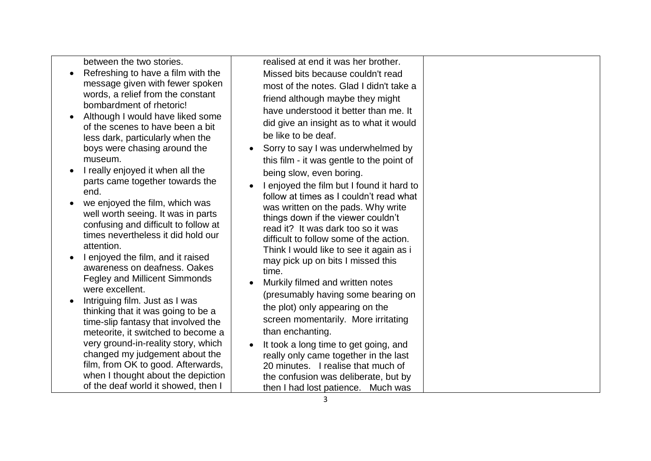between the two stories.

- Refreshing to have a film with the message given with fewer spoken words, a relief from the constant bombardment of rhetoric!
- Although I would have liked some of the scenes to have been a bit less dark, particularly when the boys were chasing around the museum.
- I really enjoyed it when all the parts came together towards the end.
- we enjoved the film, which was well worth seeing. It was in parts confusing and difficult to follow at times nevertheless it did hold our attention.
- I enjoved the film, and it raised awareness on deafness. Oakes Fegley and Millicent Simmonds were excellent.
- Intriguing film. Just as I was thinking that it was going to be a time-slip fantasy that involved the meteorite, it switched to become a very ground-in-reality story, which changed my judgement about the film, from OK to good. Afterwards, when I thought about the depiction of the deaf world it showed, then I

realised at end it was her brother. Missed bits because couldn't read most of the notes. Glad I didn't take a friend although maybe they might have understood it better than me. It did give an insight as to what it would be like to be deaf.

- Sorry to say I was underwhelmed by this film - it was gentle to the point of being slow, even boring.
- I enjoyed the film but I found it hard to follow at times as I couldn't read what was written on the pads. Why write things down if the viewer couldn't read it? It was dark too so it was difficult to follow some of the action. Think I would like to see it again as i may pick up on bits I missed this time.
- Murkily filmed and written notes (presumably having some bearing on the plot) only appearing on the screen momentarily. More irritating than enchanting.
- It took a long time to get going, and really only came together in the last 20 minutes. I realise that much of the confusion was deliberate, but by then I had lost patience. Much was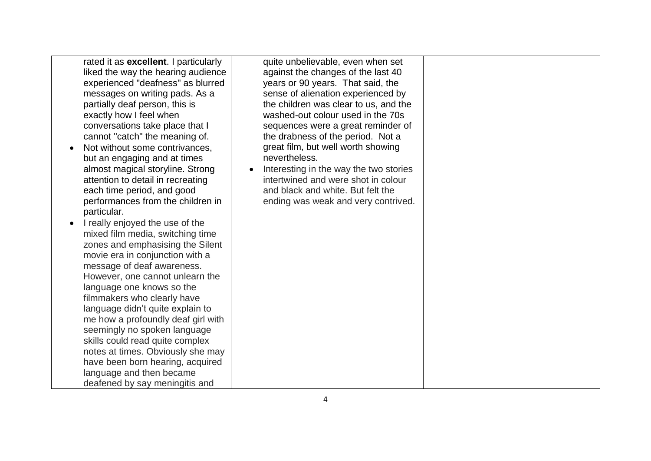rated it as **excellent**. I particularly liked the way the hearing audience experienced "deafness" as blurred messages on writing pads. As a partially deaf person, this is exactly how I feel when conversations take place that I cannot "catch" the meaning of.

- Not without some contrivances. but an engaging and at times almost magical storyline. Strong attention to detail in recreating each time period, and good performances from the children in particular.
- I really enjoyed the use of the mixed film media, switching time zones and emphasising the Silent movie era in conjunction with a message of deaf awareness. However, one cannot unlearn the language one knows so the filmmakers who clearly have language didn't quite explain to me how a profoundly deaf girl with seemingly no spoken language skills could read quite complex notes at times. Obviously she may have been born hearing, acquired language and then became deafened by say meningitis and

quite unbelievable, even when set against the changes of the last 40 years or 90 years. That said, the sense of alienation experienced by the children was clear to us, and the washed-out colour used in the 70s sequences were a great reminder of the drabness of the period. Not a great film, but well worth showing nevertheless.

Interesting in the way the two stories intertwined and were shot in colour and black and white. But felt the ending was weak and very contrived.